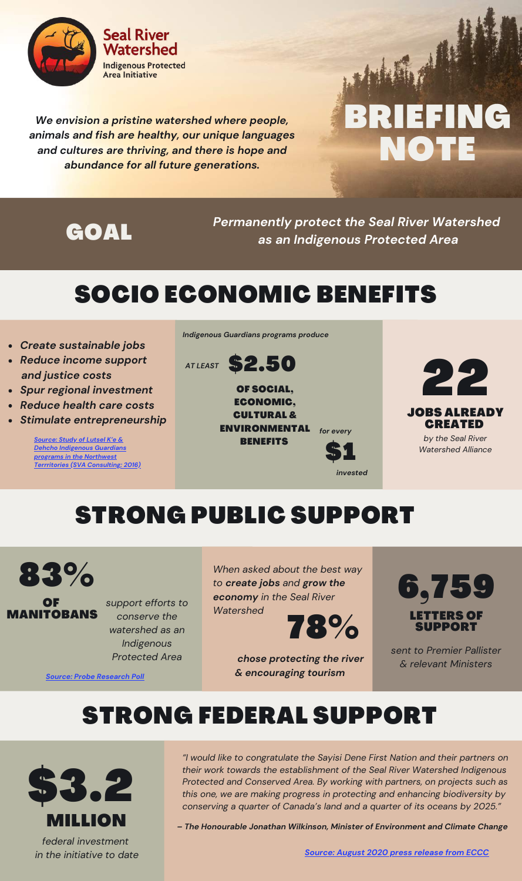

*We envision a pristine watershed where people, animals and fish are healthy, our unique languages and cultures are thriving, and there is hope and abundance for all future generations.*

# BRIEFING NOTE

*Permanently protect the Seal River Watershed* GOAL *as an Indigenous Protected Area*

*invested*

\$1

# SOCIO ECONOMIC BENEFITS

- *Create sustainable jobs*
- *Reduce income support and justice costs*
- *Spur regional investment*
- *Reduce health care costs*
- *Stimulate entrepreneurship*

*Source: Study of Lutsel K'e & Dehcho Indigenous Guardians programs in the Northwest Terrritories (SVA [Consulting;](https://www.ilinationhood.ca/publications/report-sva-analysis-of-current-amp-future-value-of-indigenous-guardians-work-in-the-nwt) 2016)* *Indigenous Guardians programs produce*

OF SOCIAL, ECONOMIC, CULTURAL & ENVIRONMENTAL **BENEFITS** \$2.50 *AT LEAST for every*



#### JOBS ALREADY **CREATED** *by the Seal River Watershed Alliance*

## STRONG PUBLIC SUPPORT





*support efforts to conserve the watershed as an Indigenous Protected Area*

*When asked about the best way to create jobs and grow the economy in the Seal River Watershed*



*chose protecting the river & encouraging tourism*



*sent to Premier Pallister & relevant Ministers*

#### STRONG FEDERAL SUPPORT



*Source: Probe [Research](https://sealriverwatershed.ca/news-release-three-out-of-four-manitobans-support-establishing-indigenous-protected-areas-poll/) Poll*

*"I would like to congratulate the Sayisi Dene First Nation and their partners on their work towards the establishment of the Seal River Watershed Indigenous Protected and Conserved Area. By working with partners, on projects such as this one, we are making progress in protecting and enhancing biodiversity by conserving a quarter of Canada's land and a quarter of its oceans by 2025."*

*– The Honourable Jonathan Wilkinson, Minister of Environment and Climate Change*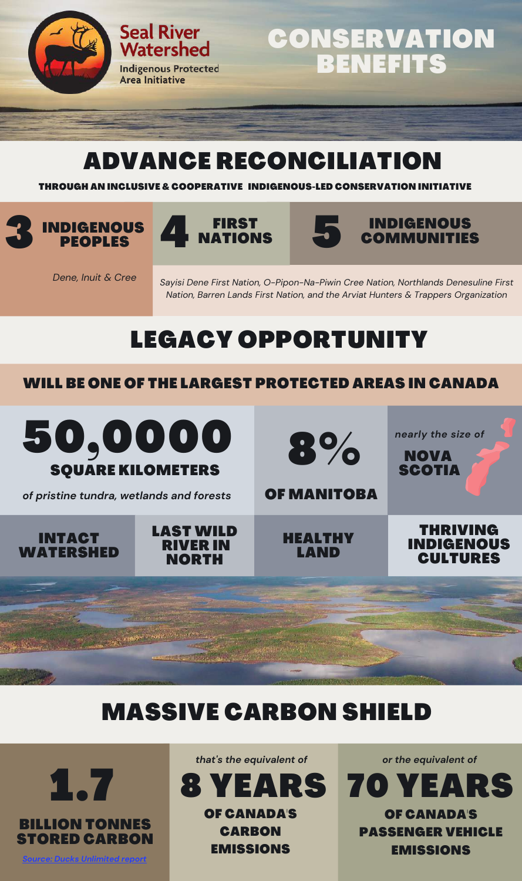

## CONSERVATION BENEFITS

#### ADVANCE RECONCILIATION

THROUGH AN INCLUSIVE & COOPERATIVE INDIGENOUS-LED CONSERVATION INITIATIVE

# INDIGENOUS 3 PEOPLES



Watershed

**Area Initiative** 





*Dene, Inuit & Cree*

*Sayisi Dene First Nation, O-Pipon-Na-Piwin Cree Nation, Northlands Denesuline First Nation, Barren Lands First Nation, and the Arviat Hunters & Trappers Organization*

# LEGACY OPPORTUNITY

#### WILL BE ONE OF THE LARGEST PROTECTED AREAS IN CANADA



#### MASSIVE CARBON SHIELD



*that's the equivalent of*



EMISSIONS

*or the equivalent of*